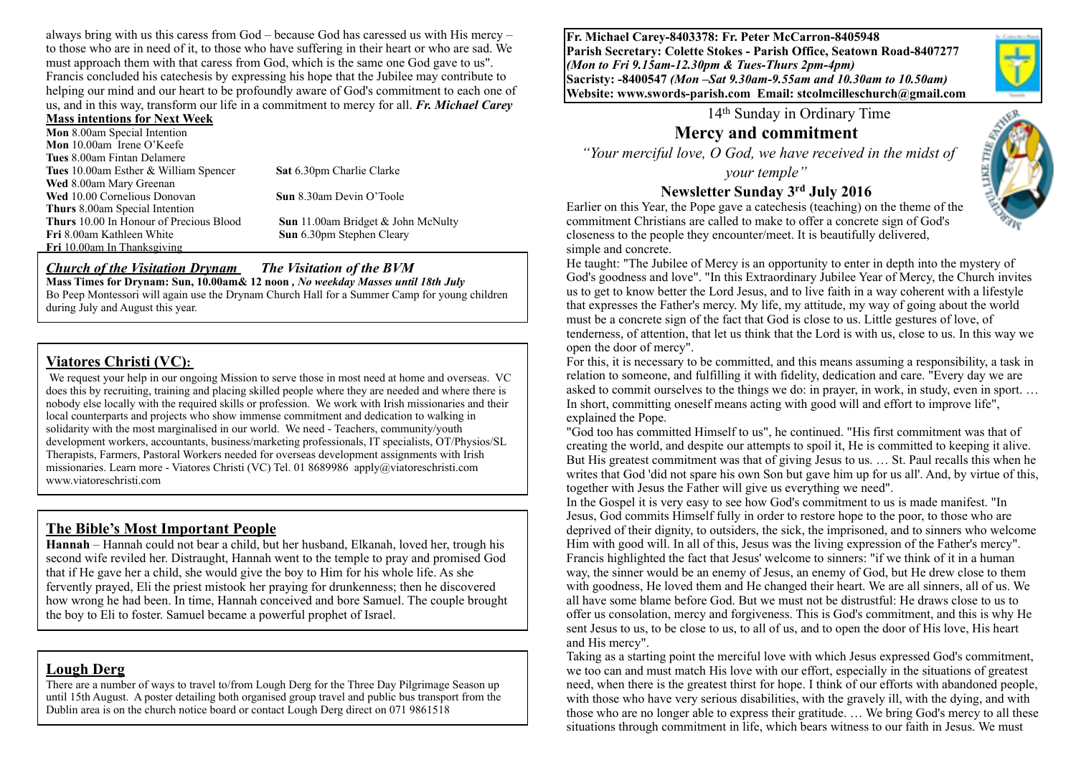always bring with us this caress from God – because God has caressed us with His mercy – to those who are in need of it, to those who have suffering in their heart or who are sad. We must approach them with that caress from God, which is the same one God gave to us". Francis concluded his catechesis by expressing his hope that the Jubilee may contribute to helping our mind and our heart to be profoundly aware of God's commitment to each one of us, and in this way, transform our life in a commitment to mercy for all. *Fr. Michael Carey*

#### **Mass intentions for Next Week**

**Mon** 8.00am Special Intention **Mon** 10.00am Irene O'Keefe **Tues** 8.00am Fintan Delamere **Tues** 10.00am Esther & William Spencer **Sat** 6.30pm Charlie Clarke **Wed** 8.00am Mary Greenan **Wed** 10.00 Cornelious Donovan **Sun** 8.30am Devin O'Toole **Thurs** 8.00am Special Intention **Thurs** 10.00 In Honour of Precious Blood **Sun** 11.00am Bridget & John McNulty **Fri** 8.00am Kathleen White **Sun** 6.30pm Stephen Cleary **Fri** 10.00am In Thanksgiving

#### *Church of the Visitation Drynam**The Visitation of the BVM*

**Mass Times for Drynam: Sun, 10.00am& 12 noon** *, No weekday Masses until 18th July* 

Bo Peep Montessori will again use the Drynam Church Hall for a Summer Camp for young children during July and August this year.

#### **Viatores Christi (VC):**

We request your help in our ongoing Mission to serve those in most need at home and overseas. VC does this by recruiting, training and placing skilled people where they are needed and where there is nobody else locally with the required skills or profession. We work with Irish missionaries and their local counterparts and projects who show immense commitment and dedication to walking in solidarity with the most marginalised in our world. We need - Teachers, community/youth development workers, accountants, business/marketing professionals, IT specialists, OT/Physios/SL Therapists, Farmers, Pastoral Workers needed for overseas development assignments with Irish missionaries. Learn more - Viatores Christi (VC) Tel. 01 8689986 apply@viatoreschristi.com www.viatoreschristi.com

#### **The Bible's Most Important People**

**Hannah** – Hannah could not bear a child, but her husband, Elkanah, loved her, trough his second wife reviled her. Distraught, Hannah went to the temple to pray and promised God that if He gave her a child, she would give the boy to Him for his whole life. As she fervently prayed, Eli the priest mistook her praying for drunkenness; then he discovered how wrong he had been. In time, Hannah conceived and bore Samuel. The couple brought the boy to Eli to foster. Samuel became a powerful prophet of Israel.

#### **Lough Derg**

There are a number of ways to travel to/from Lough Derg for the Three Day Pilgrimage Season up until 15th August. A poster detailing both organised group travel and public bus transport from the Dublin area is on the church notice board or contact Lough Derg direct on 071 9861518

**Fr. Michael Carey-8403378: Fr. Peter McCarron-8405948 Parish Secretary: Colette Stokes - Parish Office, Seatown Road-8407277**  *(Mon to Fri 9.15am-12.30pm & Tues-Thurs 2pm-4pm)*  **Sacristy: -8400547** *(Mon –Sat 9.30am-9.55am and 10.30am to 10.50am)* **Website: [www.swords-parish.com Email:](http://www.swords-parish.com%20%20email) stcolmcilleschurch@gmail.com**

14th Sunday in Ordinary Time

# **Mercy and commitment**

 *"Your merciful love, O God, we have received in the midst of* 

*your temple"* 

#### **Newsletter Sunday 3rd July 2016**

Earlier on this Year, the Pope gave a catechesis (teaching) on the theme of the commitment Christians are called to make to offer a concrete sign of God's closeness to the people they encounter/meet. It is beautifully delivered, simple and concrete.

He taught: "The Jubilee of Mercy is an opportunity to enter in depth into the mystery of God's goodness and love". "In this Extraordinary Jubilee Year of Mercy, the Church invites us to get to know better the Lord Jesus, and to live faith in a way coherent with a lifestyle that expresses the Father's mercy. My life, my attitude, my way of going about the world must be a concrete sign of the fact that God is close to us. Little gestures of love, of tenderness, of attention, that let us think that the Lord is with us, close to us. In this way we open the door of mercy".

For this, it is necessary to be committed, and this means assuming a responsibility, a task in relation to someone, and fulfilling it with fidelity, dedication and care. "Every day we are asked to commit ourselves to the things we do: in prayer, in work, in study, even in sport. … In short, committing oneself means acting with good will and effort to improve life", explained the Pope.

"God too has committed Himself to us", he continued. "His first commitment was that of creating the world, and despite our attempts to spoil it, He is committed to keeping it alive. But His greatest commitment was that of giving Jesus to us. … St. Paul recalls this when he writes that God 'did not spare his own Son but gave him up for us all'. And, by virtue of this, together with Jesus the Father will give us everything we need".

In the Gospel it is very easy to see how God's commitment to us is made manifest. "In Jesus, God commits Himself fully in order to restore hope to the poor, to those who are deprived of their dignity, to outsiders, the sick, the imprisoned, and to sinners who welcome Him with good will. In all of this, Jesus was the living expression of the Father's mercy". Francis highlighted the fact that Jesus' welcome to sinners: "if we think of it in a human way, the sinner would be an enemy of Jesus, an enemy of God, but He drew close to them with goodness, He loved them and He changed their heart. We are all sinners, all of us. We all have some blame before God. But we must not be distrustful: He draws close to us to offer us consolation, mercy and forgiveness. This is God's commitment, and this is why He sent Jesus to us, to be close to us, to all of us, and to open the door of His love, His heart and His mercy".

Taking as a starting point the merciful love with which Jesus expressed God's commitment, we too can and must match His love with our effort, especially in the situations of greatest need, when there is the greatest thirst for hope. I think of our efforts with abandoned people, with those who have very serious disabilities, with the gravely ill, with the dying, and with those who are no longer able to express their gratitude. … We bring God's mercy to all these situations through commitment in life, which bears witness to our faith in Jesus. We must